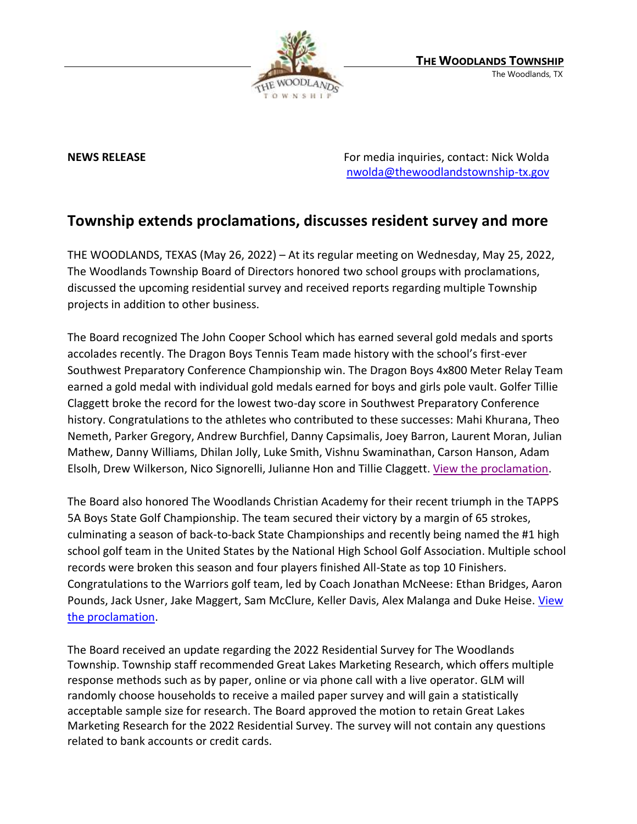

**NEWS RELEASE** For media inquiries, contact: Nick Wolda **NEWS** RELEASE [nwolda@thewoodlandstownship-tx.gov](mailto:nwolda@thewoodlandstownship-tx.gov)

## **Township extends proclamations, discusses resident survey and more**

THE WOODLANDS, TEXAS (May 26, 2022) – At its regular meeting on Wednesday, May 25, 2022, The Woodlands Township Board of Directors honored two school groups with proclamations, discussed the upcoming residential survey and received reports regarding multiple Township projects in addition to other business.

The Board recognized The John Cooper School which has earned several gold medals and sports accolades recently. The Dragon Boys Tennis Team made history with the school's first-ever Southwest Preparatory Conference Championship win. The Dragon Boys 4x800 Meter Relay Team earned a gold medal with individual gold medals earned for boys and girls pole vault. Golfer Tillie Claggett broke the record for the lowest two-day score in Southwest Preparatory Conference history. Congratulations to the athletes who contributed to these successes: Mahi Khurana, Theo Nemeth, Parker Gregory, Andrew Burchfiel, Danny Capsimalis, Joey Barron, Laurent Moran, Julian Mathew, Danny Williams, Dhilan Jolly, Luke Smith, Vishnu Swaminathan, Carson Hanson, Adam Elsolh, Drew Wilkerson, Nico Signorelli, Julianne Hon and Tillie Claggett. [View the proclamation.](https://destinyhosted.com/woodldocs/2022/BODREG/20220525_3859/5075_The_John_Cooper_School_State_Champions_Day_rev_1_5.19_1250pm.pdf)

The Board also honored The Woodlands Christian Academy for their recent triumph in the TAPPS 5A Boys State Golf Championship. The team secured their victory by a margin of 65 strokes, culminating a season of back-to-back State Championships and recently being named the #1 high school golf team in the United States by the National High School Golf Association. Multiple school records were broken this season and four players finished All-State as top 10 Finishers. Congratulations to the Warriors golf team, led by Coach Jonathan McNeese: Ethan Bridges, Aaron Pounds, Jack Usner, Jake Maggert, Sam McClure, Keller Davis, Alex Malanga and Duke Heise. View [the proclamation.](https://destinyhosted.com/woodldocs/2022/BODREG/20220525_3859/5096_TWCA_Golf_State_Champions_Rev_2_05.20_1040am.pdf)

The Board received an update regarding the 2022 Residential Survey for The Woodlands Township. Township staff recommended Great Lakes Marketing Research, which offers multiple response methods such as by paper, online or via phone call with a live operator. GLM will randomly choose households to receive a mailed paper survey and will gain a statistically acceptable sample size for research. The Board approved the motion to retain Great Lakes Marketing Research for the 2022 Residential Survey. The survey will not contain any questions related to bank accounts or credit cards.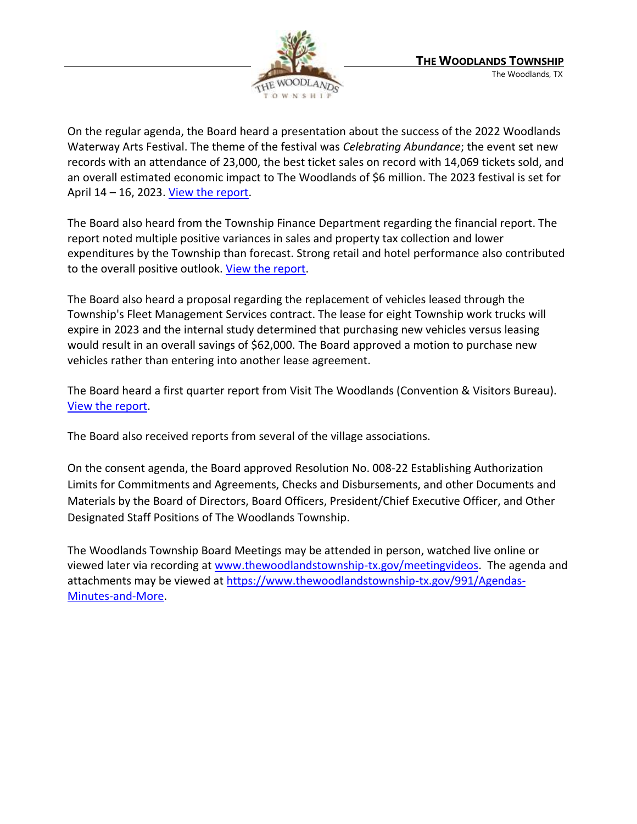

On the regular agenda, the Board heard a presentation about the success of the 2022 Woodlands Waterway Arts Festival. The theme of the festival was *Celebrating Abundance*; the event set new records with an attendance of 23,000, the best ticket sales on record with 14,069 tickets sold, and an overall estimated economic impact to The Woodlands of \$6 million. The 2023 festival is set for April  $14 - 16$ , 2023. [View the report.](https://www.thewoodlandstownship-tx.gov/ArchiveCenter/ViewFile/Item/12320)

The Board also heard from the Township Finance Department regarding the financial report. The report noted multiple positive variances in sales and property tax collection and lower expenditures by the Township than forecast. Strong retail and hotel performance also contributed to the overall positive outlook. [View the report.](https://www.thewoodlandstownship-tx.gov/ArchiveCenter/ViewFile/Item/12321)

The Board also heard a proposal regarding the replacement of vehicles leased through the Township's Fleet Management Services contract. The lease for eight Township work trucks will expire in 2023 and the internal study determined that purchasing new vehicles versus leasing would result in an overall savings of \$62,000. The Board approved a motion to purchase new vehicles rather than entering into another lease agreement.

The Board heard a first quarter report from Visit The Woodlands (Convention & Visitors Bureau). [View the report.](https://www.thewoodlandstownship-tx.gov/ArchiveCenter/ViewFile/Item/12322)

The Board also received reports from several of the village associations.

On the consent agenda, the Board approved Resolution No. 008-22 Establishing Authorization Limits for Commitments and Agreements, Checks and Disbursements, and other Documents and Materials by the Board of Directors, Board Officers, President/Chief Executive Officer, and Other Designated Staff Positions of The Woodlands Township.

The Woodlands Township Board Meetings may be attended in person, watched live online or viewed later via recording at [www.thewoodlandstownship-tx.gov/meetingvideos.](http://www.thewoodlandstownship-tx.gov/meetingvideos) The agenda and attachments may be viewed a[t https://www.thewoodlandstownship-tx.gov/991/Agendas-](https://www.thewoodlandstownship-tx.gov/991/Agendas-Minutes-and-More)[Minutes-and-More.](https://www.thewoodlandstownship-tx.gov/991/Agendas-Minutes-and-More)